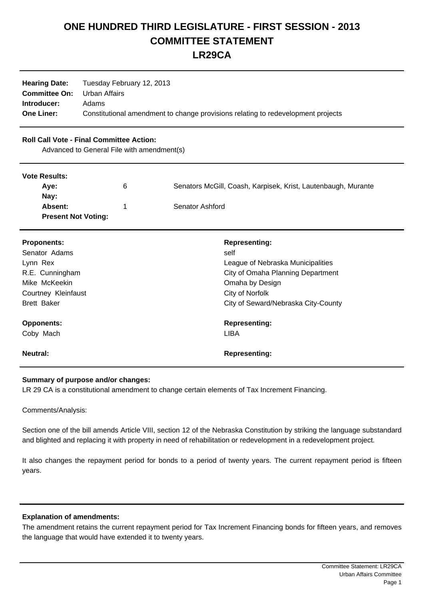# **ONE HUNDRED THIRD LEGISLATURE - FIRST SESSION - 2013 COMMITTEE STATEMENT LR29CA**

| <b>Hearing Date:</b> | Tuesday February 12, 2013                                                        |
|----------------------|----------------------------------------------------------------------------------|
| <b>Committee On:</b> | Urban Affairs                                                                    |
| Introducer:          | Adams                                                                            |
| <b>One Liner:</b>    | Constitutional amendment to change provisions relating to redevelopment projects |

## **Roll Call Vote - Final Committee Action:**

Advanced to General File with amendment(s)

#### **Vote Results:**

| <b>VULG INGSUILS.</b>      |   |                                                               |
|----------------------------|---|---------------------------------------------------------------|
| Ave:                       | 6 | Senators McGill, Coash, Karpisek, Krist, Lautenbaugh, Murante |
| Nav:                       |   |                                                               |
| <b>Absent:</b>             |   | Senator Ashford                                               |
| <b>Present Not Voting:</b> |   |                                                               |

| <b>Proponents:</b>  | <b>Representing:</b>                |
|---------------------|-------------------------------------|
| Senator Adams       | self                                |
| Lynn Rex            | League of Nebraska Municipalities   |
| R.E. Cunningham     | City of Omaha Planning Department   |
| Mike McKeekin       | Omaha by Design                     |
| Courtney Kleinfaust | City of Norfolk                     |
| <b>Brett Baker</b>  | City of Seward/Nebraska City-County |
| <b>Opponents:</b>   | <b>Representing:</b>                |
| Coby Mach           | <b>LIBA</b>                         |
| <b>Neutral:</b>     | <b>Representing:</b>                |

## **Summary of purpose and/or changes:**

LR 29 CA is a constitutional amendment to change certain elements of Tax Increment Financing.

Comments/Analysis:

Section one of the bill amends Article VIII, section 12 of the Nebraska Constitution by striking the language substandard and blighted and replacing it with property in need of rehabilitation or redevelopment in a redevelopment project.

It also changes the repayment period for bonds to a period of twenty years. The current repayment period is fifteen years.

## **Explanation of amendments:**

The amendment retains the current repayment period for Tax Increment Financing bonds for fifteen years, and removes the language that would have extended it to twenty years.